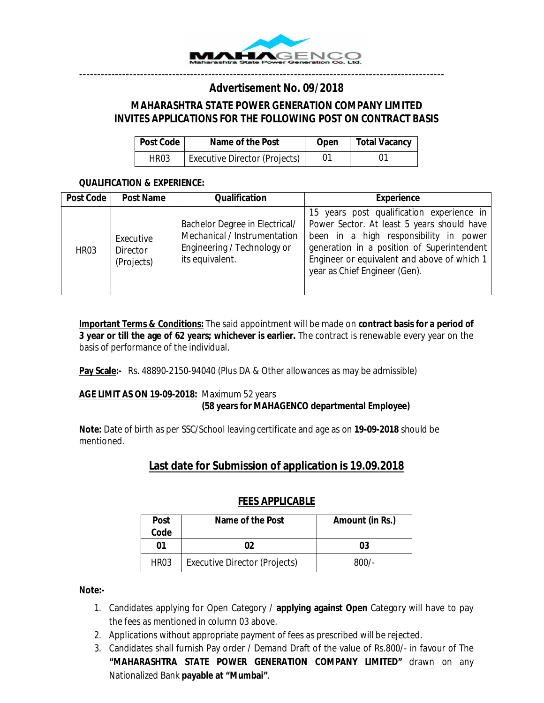

## ------------------------------------------------------------------------------------------------------ *Advertisement No. 09/2018*

# *MAHARASHTRA STATE POWER GENERATION COMPANY LIMITED INVITES APPLICATIONS FOR THE FOLLOWING POST ON CONTRACT BASIS*

| <b>Post Code</b> | Name of the Post                     | <b>Open</b> | Total Vacancy |
|------------------|--------------------------------------|-------------|---------------|
| HR <sub>03</sub> | <b>Executive Director (Projects)</b> |             |               |

#### *QUALIFICATION & EXPERIENCE:*

| <b>Post Code</b> | <b>Post Name</b>                    | <b>Qualification</b>                                                                                             | <b>Experience</b>                                                                                                                                                                                                                                               |
|------------------|-------------------------------------|------------------------------------------------------------------------------------------------------------------|-----------------------------------------------------------------------------------------------------------------------------------------------------------------------------------------------------------------------------------------------------------------|
| <b>HR03</b>      | Executive<br>Director<br>(Projects) | Bachelor Degree in Electrical/<br>Mechanical / Instrumentation<br>Engineering / Technology or<br>its equivalent. | 15 years post qualification experience in<br>Power Sector. At least 5 years should have<br>been in a high responsibility in power<br>generation in a position of Superintendent<br>Engineer or equivalent and above of which 1<br>year as Chief Engineer (Gen). |

**Important Terms & Conditions:** The said appointment will be made on **contract basis for a period of 3 year or till the age of 62 years; whichever is earlier.** The contract is renewable every year on the basis of performance of the individual.

Pay Scale:- Rs. 48890-2150-94040 (Plus DA & Other allowances as may be admissible)

#### **AGE LIMIT AS ON 19-09-2018:** Maximum 52 years **(58 years for MAHAGENCO departmental Employee)**

**Note:** Date of birth as per SSC/School leaving certificate and age as on **19-09-2018** should be mentioned.

# **Last date for Submission of application is 19.09.2018**

# **FEES APPLICABLE**

| <b>Post</b><br>Code | Name of the Post                     | Amount (in Rs.) |
|---------------------|--------------------------------------|-----------------|
| 01                  | 02                                   | 03              |
| HR <sub>03</sub>    | <b>Executive Director (Projects)</b> | $800/-$         |

#### **Note:-**

- 1. Candidates applying for Open Category / **applying against Open** Category will have to pay the fees as mentioned in column 03 above.
- 2. Applications without appropriate payment of fees as prescribed will be rejected.
- 3. Candidates shall furnish Pay order / Demand Draft of the value of Rs.800/- in favour of The **"MAHARASHTRA STATE POWER GENERATION COMPANY LIMITED"** drawn on any Nationalized Bank **payable at "Mumbai"**.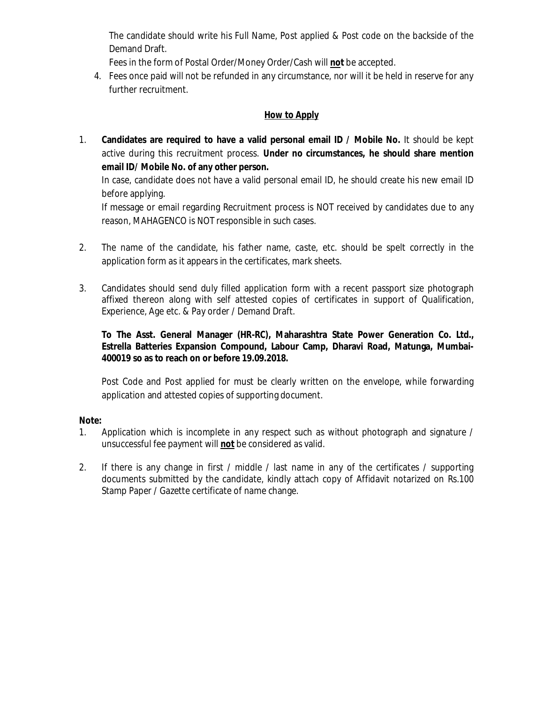The candidate should write his Full Name, Post applied & Post code on the backside of the Demand Draft.

Fees in the form of Postal Order/Money Order/Cash will **not** be accepted.

4. Fees once paid will not be refunded in any circumstance, nor will it be held in reserve for any further recruitment.

### **How to Apply**

1. **Candidates are required to have a valid personal email ID / Mobile No.** It should be kept active during this recruitment process. **Under no circumstances, he should share mention email ID/ Mobile No. of any other person.** 

In case, candidate does not have a valid personal email ID, he should create his new email ID before applying.

If message or email regarding Recruitment process is NOT received by candidates due to any reason, MAHAGENCO is NOT responsible in such cases.

- 2. The name of the candidate, his father name, caste, etc. should be spelt correctly in the application form as it appears in the certificates, mark sheets.
- 3. Candidates should send duly filled application form with a recent passport size photograph affixed thereon along with self attested copies of certificates in support of Qualification, Experience, Age etc. & Pay order / Demand Draft.

#### **To The Asst. General Manager (HR-RC), Maharashtra State Power Generation Co. Ltd., Estrella Batteries Expansion Compound, Labour Camp, Dharavi Road, Matunga, Mumbai-400019 so as to reach on or before 19.09.2018.**

Post Code and Post applied for must be clearly written on the envelope, while forwarding application and attested copies of supporting document.

#### **Note:**

- 1. Application which is incomplete in any respect such as without photograph and signature / unsuccessful fee payment will **not** be considered as valid.
- 2. If there is any change in first / middle / last name in any of the certificates / supporting documents submitted by the candidate, kindly attach copy of Affidavit notarized on Rs.100 Stamp Paper / Gazette certificate of name change.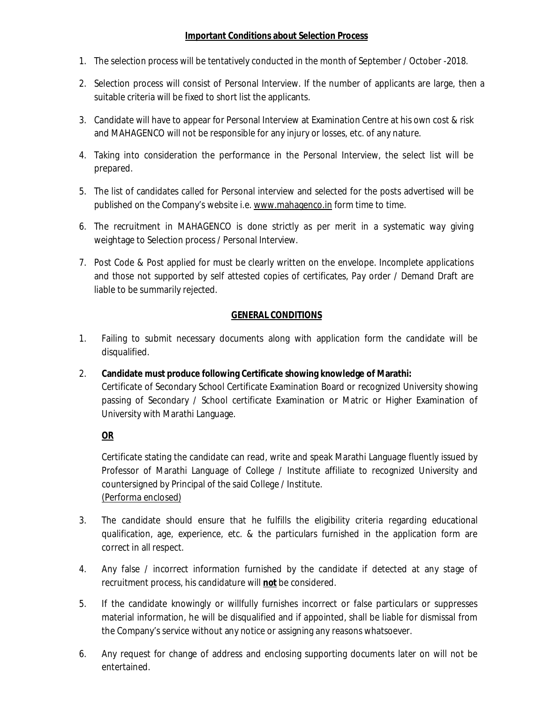#### **Important Conditions about Selection Process**

- 1. The selection process will be tentatively conducted in the month of September / October -2018.
- 2. Selection process will consist of Personal Interview. If the number of applicants are large, then a suitable criteria will be fixed to short list the applicants.
- 3. Candidate will have to appear for Personal Interview at Examination Centre at his own cost & risk and MAHAGENCO will not be responsible for any injury or losses, etc. of any nature.
- 4. Taking into consideration the performance in the Personal Interview, the select list will be prepared.
- 5. The list of candidates called for Personal interview and selected for the posts advertised will be published on the Company's website i.e. www.mahagenco.in form time to time.
- 6. The recruitment in MAHAGENCO is done strictly as per merit in a systematic way giving weightage to Selection process / Personal Interview.
- 7. Post Code & Post applied for must be clearly written on the envelope. Incomplete applications and those not supported by self attested copies of certificates, Pay order / Demand Draft are liable to be summarily rejected.

## **GENERAL CONDITIONS**

- 1. Failing to submit necessary documents along with application form the candidate will be disqualified.
- 2. **Candidate must produce following Certificate showing knowledge of Marathi:** Certificate of Secondary School Certificate Examination Board or recognized University showing passing of Secondary / School certificate Examination or Matric or Higher Examination of University with Marathi Language.

## **OR**

Certificate stating the candidate can read, write and speak Marathi Language fluently issued by Professor of Marathi Language of College / Institute affiliate to recognized University and countersigned by Principal of the said College / Institute. (Performa enclosed)

- 3. The candidate should ensure that he fulfills the eligibility criteria regarding educational qualification, age, experience, etc. & the particulars furnished in the application form are correct in all respect.
- 4. Any false / incorrect information furnished by the candidate if detected at any stage of recruitment process, his candidature will **not** be considered.
- 5. If the candidate knowingly or willfully furnishes incorrect or false particulars or suppresses material information, he will be disqualified and if appointed, shall be liable for dismissal from the Company's service without any notice or assigning any reasons whatsoever.
- 6. Any request for change of address and enclosing supporting documents later on will not be entertained.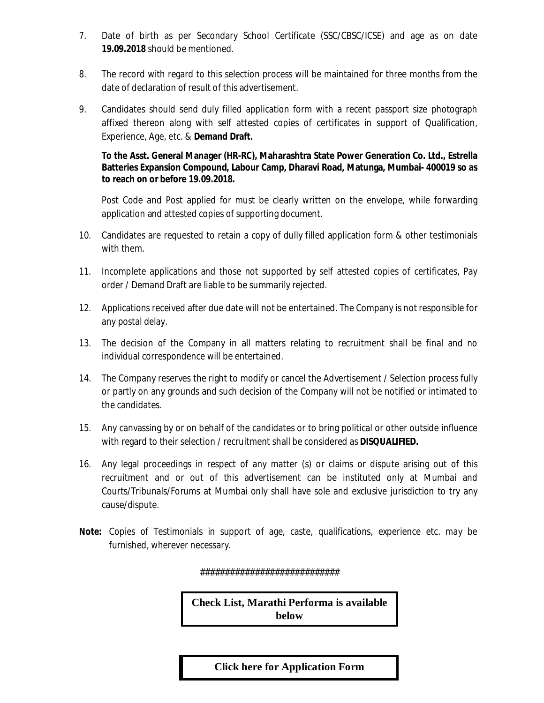- 7. Date of birth as per Secondary School Certificate (SSC/CBSC/ICSE) and age as on date **19.09.2018** should be mentioned.
- 8. The record with regard to this selection process will be maintained for three months from the date of declaration of result of this advertisement.
- 9. Candidates should send duly filled application form with a recent passport size photograph affixed thereon along with self attested copies of certificates in support of Qualification, Experience, Age, etc. & **Demand Draft.**

#### **To the Asst. General Manager (HR-RC), Maharashtra State Power Generation Co. Ltd., Estrella Batteries Expansion Compound, Labour Camp, Dharavi Road, Matunga, Mumbai- 400019 so as to reach on or before 19.09.2018.**

Post Code and Post applied for must be clearly written on the envelope, while forwarding application and attested copies of supporting document.

- 10. Candidates are requested to retain a copy of dully filled application form & other testimonials with them.
- 11. Incomplete applications and those not supported by self attested copies of certificates, Pay order / Demand Draft are liable to be summarily rejected.
- 12. Applications received after due date will not be entertained. The Company is not responsible for any postal delay.
- 13. The decision of the Company in all matters relating to recruitment shall be final and no individual correspondence will be entertained.
- 14. The Company reserves the right to modify or cancel the Advertisement / Selection process fully or partly on any grounds and such decision of the Company will not be notified or intimated to the candidates.
- 15. Any canvassing by or on behalf of the candidates or to bring political or other outside influence with regard to their selection / recruitment shall be considered as **DISQUALIFIED.**
- 16. Any legal proceedings in respect of any matter (s) or claims or dispute arising out of this recruitment and or out of this advertisement can be instituted only at Mumbai and Courts/Tribunals/Forums at Mumbai only shall have sole and exclusive jurisdiction to try any cause/dispute.
- **Note:** Copies of Testimonials in support of age, caste, qualifications, experience etc. may be furnished, wherever necessary.

############################

**Check List, Marathi Performa is available below**

**Click here [for Application Form](https://www.mahagenco.in/phocadownload/career/2018/September/Application%20Form%20-ED%20Projects.pdf)**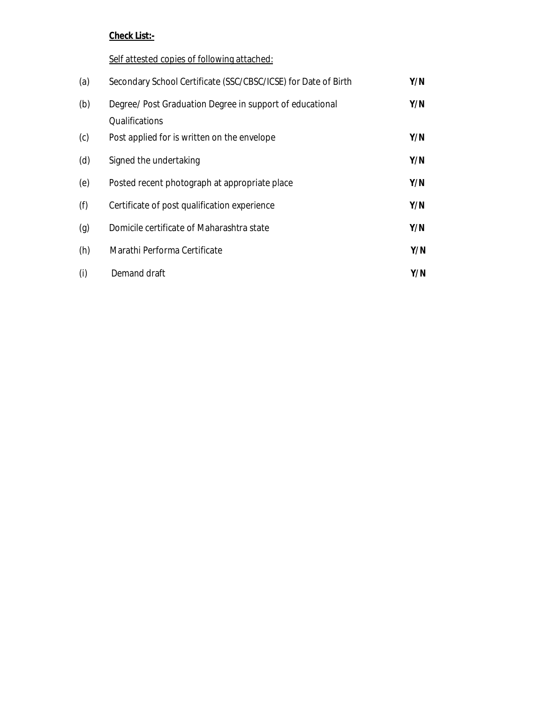# **Check List:-**

## Self attested copies of following attached:

| (a) | Secondary School Certificate (SSC/CBSC/ICSE) for Date of Birth             | Y/N |
|-----|----------------------------------------------------------------------------|-----|
| (b) | Degree/ Post Graduation Degree in support of educational<br>Qualifications | Y/N |
| (c) | Post applied for is written on the envelope                                | Y/N |
| (d) | Signed the undertaking                                                     | Y/N |
| (e) | Posted recent photograph at appropriate place                              | Y/N |
| (f) | Certificate of post qualification experience                               | Y/N |
| (g) | Domicile certificate of Maharashtra state                                  | Y/N |
| (h) | Marathi Performa Certificate                                               | Y/N |
| (i) | Demand draft                                                               | Y/N |